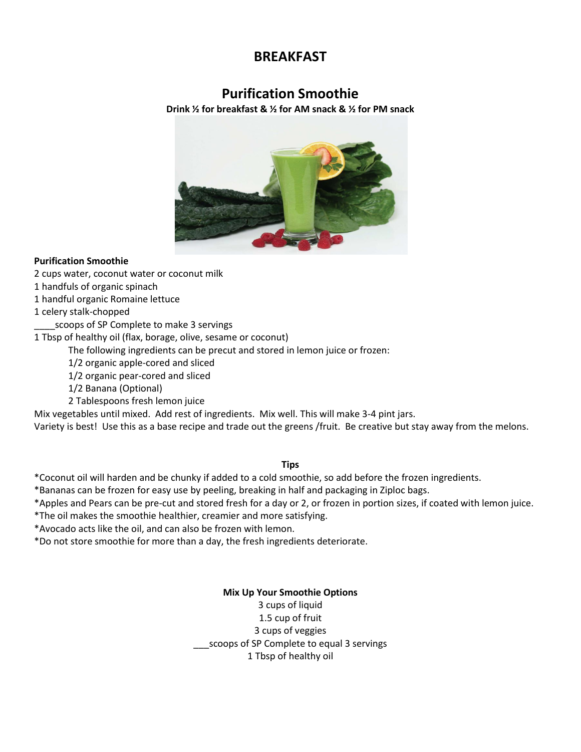# **BREAKFAST**

# **Purification Smoothie**

**Drink ½ for breakfast & ½ for AM snack & ½ for PM snack**



# **Purification Smoothie**

2 cups water, coconut water or coconut milk

1 handfuls of organic spinach

1 handful organic Romaine lettuce

1 celery stalk-chopped

scoops of SP Complete to make 3 servings

1 Tbsp of healthy oil (flax, borage, olive, sesame or coconut)

The following ingredients can be precut and stored in lemon juice or frozen:

1/2 organic apple-cored and sliced

1/2 organic pear-cored and sliced

1/2 Banana (Optional)

2 Tablespoons fresh lemon juice

Mix vegetables until mixed. Add rest of ingredients. Mix well. This will make 3-4 pint jars.

Variety is best! Use this as a base recipe and trade out the greens /fruit. Be creative but stay away from the melons.

#### **Tips**

\*Coconut oil will harden and be chunky if added to a cold smoothie, so add before the frozen ingredients.

\*Bananas can be frozen for easy use by peeling, breaking in half and packaging in Ziploc bags.

\*Apples and Pears can be pre-cut and stored fresh for a day or 2, or frozen in portion sizes, if coated with lemon juice.

\*The oil makes the smoothie healthier, creamier and more satisfying.

\*Avocado acts like the oil, and can also be frozen with lemon.

\*Do not store smoothie for more than a day, the fresh ingredients deteriorate.

**Mix Up Your Smoothie Options**

3 cups of liquid

1.5 cup of fruit 3 cups of veggies

scoops of SP Complete to equal 3 servings

1 Tbsp of healthy oil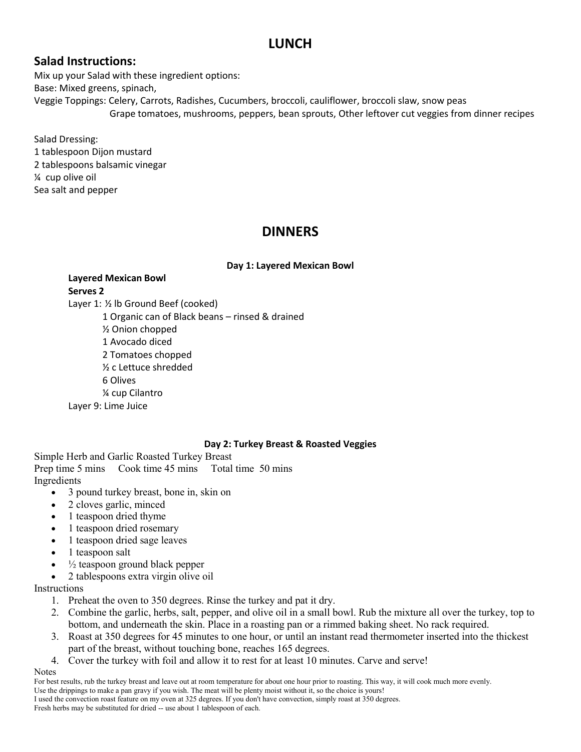# **LUNCH**

# **Salad Instructions:**

Mix up your Salad with these ingredient options: Base: Mixed greens, spinach, Veggie Toppings: Celery, Carrots, Radishes, Cucumbers, broccoli, cauliflower, broccoli slaw, snow peas Grape tomatoes, mushrooms, peppers, bean sprouts, Other leftover cut veggies from dinner recipes

Salad Dressing: 1 tablespoon Dijon mustard 2 tablespoons balsamic vinegar ¼ cup olive oil Sea salt and pepper

# **DINNERS**

# **Day 1: Layered Mexican Bowl**

# **Layered Mexican Bowl Serves 2**

Layer 1: ½ lb Ground Beef (cooked)

1 Organic can of Black beans – rinsed & drained

½ Onion chopped

1 Avocado diced

2 Tomatoes chopped

½ c Lettuce shredded

6 Olives

¼ cup Cilantro

Layer 9: Lime Juice

# **Day 2: Turkey Breast & Roasted Veggies**

Simple Herb and Garlic Roasted Turkey Breast Prep time 5 mins Cook time 45 mins Total time 50 mins Ingredients

- $\bullet$  3 pound turkey breast, bone in, skin on
- 2 cloves garlic, minced
- $\bullet$  1 teaspoon dried thyme
- 1 teaspoon dried rosemary
- 1 teaspoon dried sage leaves
- 1 teaspoon salt
- $\frac{1}{2}$  teaspoon ground black pepper
- 2 tablespoons extra virgin olive oil

Instructions

- 1. Preheat the oven to 350 degrees. Rinse the turkey and pat it dry.
- 2. Combine the garlic, herbs, salt, pepper, and olive oil in a small bowl. Rub the mixture all over the turkey, top to bottom, and underneath the skin. Place in a roasting pan or a rimmed baking sheet. No rack required.
- 3. Roast at 350 degrees for 45 minutes to one hour, or until an instant read thermometer inserted into the thickest part of the breast, without touching bone, reaches 165 degrees.
- 4. Cover the turkey with foil and allow it to rest for at least 10 minutes. Carve and serve!

#### **Notes**

For best results, rub the turkey breast and leave out at room temperature for about one hour prior to roasting. This way, it will cook much more evenly. Use the drippings to make a pan gravy if you wish. The meat will be plenty moist without it, so the choice is yours! I used the convection roast feature on my oven at 325 degrees. If you don't have convection, simply roast at 350 degrees. Fresh herbs may be substituted for dried -- use about 1 tablespoon of each.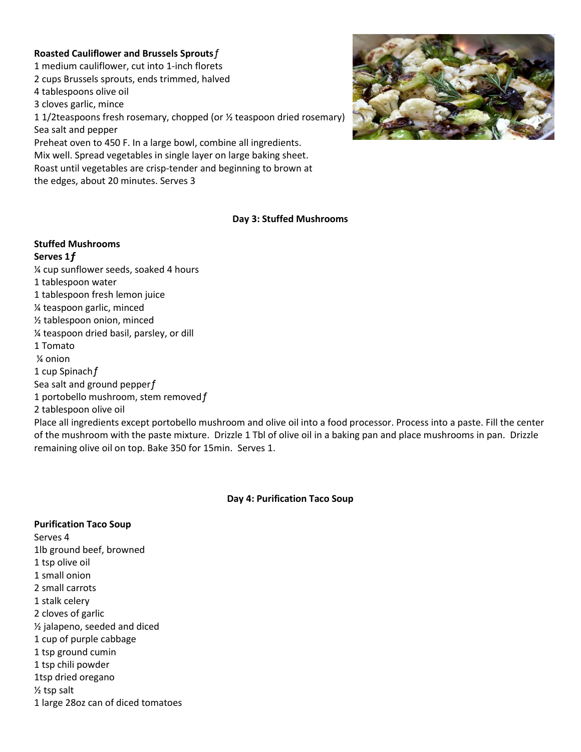#### **Roasted Cauliflower and Brussels Sprouts**ƒ

1 medium cauliflower, cut into 1-inch florets 2 cups Brussels sprouts, ends trimmed, halved 4 tablespoons olive oil 3 cloves garlic, mince 1 1/2teaspoons fresh rosemary, chopped (or ½ teaspoon dried rosemary) Sea salt and pepper Preheat oven to 450 F. In a large bowl, combine all ingredients. Mix well. Spread vegetables in single layer on large baking sheet. Roast until vegetables are crisp-tender and beginning to brown at

the edges, about 20 minutes. Serves 3



#### **Day 3: Stuffed Mushrooms**

#### **Stuffed Mushrooms**

**Serves 1ƒ**

¼ cup sunflower seeds, soaked 4 hours 1 tablespoon water 1 tablespoon fresh lemon juice ¼ teaspoon garlic, minced ½ tablespoon onion, minced ¼ teaspoon dried basil, parsley, or dill 1 Tomato ¼ onion 1 cup Spinach f Sea salt and ground pepperf 1 portobello mushroom, stem removed f 2 tablespoon olive oil

Place all ingredients except portobello mushroom and olive oil into a food processor. Process into a paste. Fill the center of the mushroom with the paste mixture. Drizzle 1 Tbl of olive oil in a baking pan and place mushrooms in pan. Drizzle remaining olive oil on top. Bake 350 for 15min. Serves 1.

#### **Day 4: Purification Taco Soup**

#### **Purification Taco Soup**

Serves 4 1lb ground beef, browned 1 tsp olive oil 1 small onion 2 small carrots 1 stalk celery 2 cloves of garlic ½ jalapeno, seeded and diced 1 cup of purple cabbage 1 tsp ground cumin 1 tsp chili powder 1tsp dried oregano ½ tsp salt 1 large 28oz can of diced tomatoes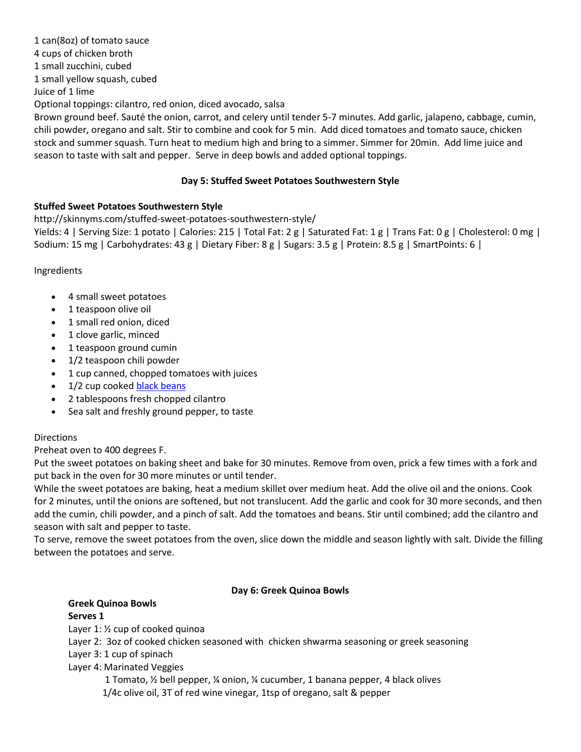1 can(8oz) of tomato sauce

4 cups of chicken broth

1 small zucchini, cubed

1 small yellow squash, cubed

Juice of 1 lime

Optional toppings: cilantro, red onion, diced avocado, salsa

Brown ground beef. Sauté the onion, carrot, and celery until tender 5-7 minutes. Add garlic, jalapeno, cabbage, cumin, chili powder, oregano and salt. Stir to combine and cook for 5 min. Add diced tomatoes and tomato sauce, chicken stock and summer squash. Turn heat to medium high and bring to a simmer. Simmer for 20min. Add lime juice and season to taste with salt and pepper. Serve in deep bowls and added optional toppings.

# **Day 5: Stuffed Sweet Potatoes Southwestern Style**

# **Stuffed Sweet Potatoes Southwestern Style**

http://skinnyms.com/stuffed-sweet-potatoes-southwestern-style/

Yields: 4 | Serving Size: 1 potato | Calories: 215 | Total Fat: 2 g | Saturated Fat: 1 g | Trans Fat: 0 g | Cholesterol: 0 mg | Sodium: 15 mg | Carbohydrates: 43 g | Dietary Fiber: 8 g | Sugars: 3.5 g | Protein: 8.5 g | SmartPoints: 6 |

Ingredients

- 4 small sweet potatoes
- 1 teaspoon olive oil
- 1 small red onion, diced
- 1 clove garlic, minced
- 1 teaspoon ground cumin
- 1/2 teaspoon chili powder
- $\bullet$  1 cup canned, chopped tomatoes with juices
- 1/2 cup cooke[d black beans](http://astore.amazon.com/cleaneatinggroceries-20/detail/B000GZW5OS)
- 2 tablespoons fresh chopped cilantro
- Sea salt and freshly ground pepper, to taste

# Directions

Preheat oven to 400 degrees F.

Put the sweet potatoes on baking sheet and bake for 30 minutes. Remove from oven, prick a few times with a fork and put back in the oven for 30 more minutes or until tender.

While the sweet potatoes are baking, heat a medium skillet over medium heat. Add the olive oil and the onions. Cook for 2 minutes, until the onions are softened, but not translucent. Add the garlic and cook for 30 more seconds, and then add the cumin, chili powder, and a pinch of salt. Add the tomatoes and beans. Stir until combined; add the cilantro and season with salt and pepper to taste.

To serve, remove the sweet potatoes from the oven, slice down the middle and season lightly with salt. Divide the filling between the potatoes and serve.

# **Day 6: Greek Quinoa Bowls**

### **Greek Quinoa Bowls Serves 1**

Layer 1: ½ cup of cooked quinoa

Layer 2: 3oz of cooked chicken seasoned with chicken shwarma seasoning or greek seasoning

Layer 3: 1 cup of spinach

Layer 4: Marinated Veggies

1 Tomato, ½ bell pepper, ¼ onion, ¼ cucumber, 1 banana pepper, 4 black olives 1/4c olive oil, 3T of red wine vinegar, 1tsp of oregano, salt & pepper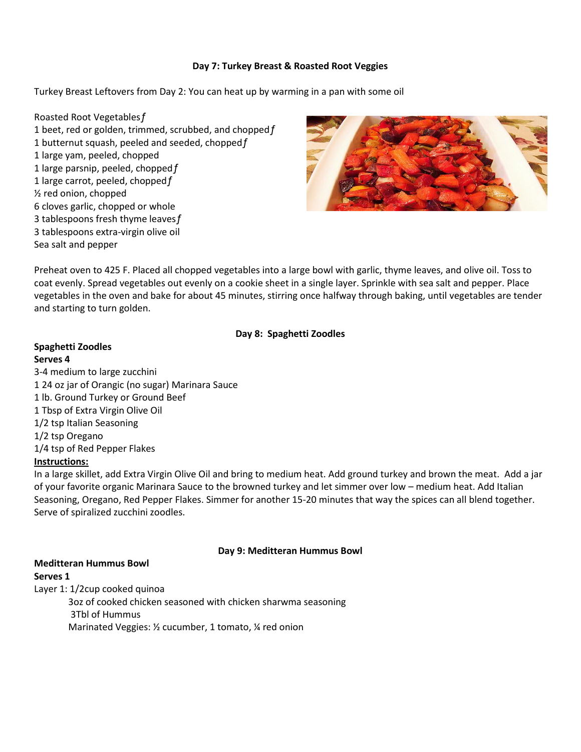#### **Day 7: Turkey Breast & Roasted Root Veggies**

Turkey Breast Leftovers from Day 2: You can heat up by warming in a pan with some oil

Roasted Root Vegetablesƒ 1 beet, red or golden, trimmed, scrubbed, and chopped $f$ 1 butternut squash, peeled and seeded, chopped f 1 large yam, peeled, chopped 1 large parsnip, peeled, chopped  $f$ 1 large carrot, peeled, chopped $f$ ½ red onion, chopped 6 cloves garlic, chopped or whole 3 tablespoons fresh thyme leaves $f$ 3 tablespoons extra-virgin olive oil Sea salt and pepper



Preheat oven to 425 F. Placed all chopped vegetables into a large bowl with garlic, thyme leaves, and olive oil. Toss to coat evenly. Spread vegetables out evenly on a cookie sheet in a single layer. Sprinkle with sea salt and pepper. Place vegetables in the oven and bake for about 45 minutes, stirring once halfway through baking, until vegetables are tender and starting to turn golden.

### **Day 8: Spaghetti Zoodles**

## **Spaghetti Zoodles Serves 4**

3-4 medium to large zucchini 1 24 oz jar of Orangic (no sugar) Marinara Sauce 1 lb. Ground Turkey or Ground Beef 1 Tbsp of Extra Virgin Olive Oil 1/2 tsp Italian Seasoning 1/2 tsp Oregano 1/4 tsp of Red Pepper Flakes **Instructions:**

In a large skillet, add Extra Virgin Olive Oil and bring to medium heat. Add ground turkey and brown the meat. Add a jar of your favorite organic Marinara Sauce to the browned turkey and let simmer over low – medium heat. Add Italian Seasoning, Oregano, Red Pepper Flakes. Simmer for another 15-20 minutes that way the spices can all blend together. Serve of spiralized zucchini zoodles.

#### **Day 9: Meditteran Hummus Bowl**

#### **Meditteran Hummus Bowl**

#### **Serves 1**

Layer 1: 1/2cup cooked quinoa

3oz of cooked chicken seasoned with chicken sharwma seasoning 3Tbl of Hummus Marinated Veggies: ½ cucumber, 1 tomato, ¼ red onion